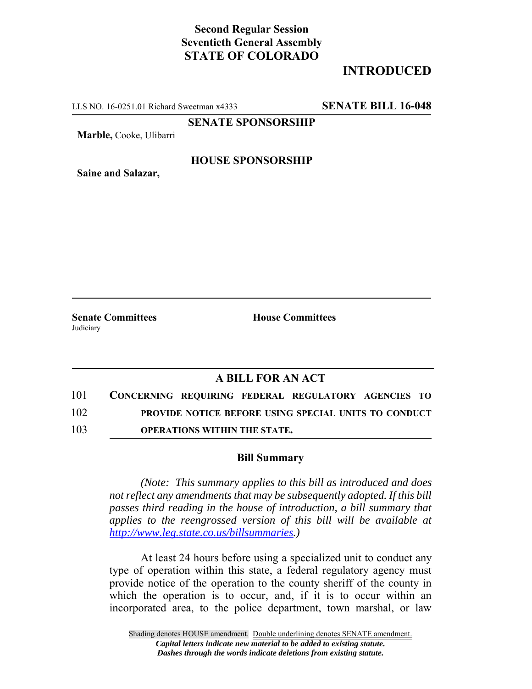## **Second Regular Session Seventieth General Assembly STATE OF COLORADO**

# **INTRODUCED**

LLS NO. 16-0251.01 Richard Sweetman x4333 **SENATE BILL 16-048**

**SENATE SPONSORSHIP**

**Marble,** Cooke, Ulibarri

#### **HOUSE SPONSORSHIP**

**Saine and Salazar,**

**Judiciary** 

**Senate Committees House Committees** 

### **A BILL FOR AN ACT**

101 **CONCERNING REQUIRING FEDERAL REGULATORY AGENCIES TO** 102 **PROVIDE NOTICE BEFORE USING SPECIAL UNITS TO CONDUCT** 103 **OPERATIONS WITHIN THE STATE.**

#### **Bill Summary**

*(Note: This summary applies to this bill as introduced and does not reflect any amendments that may be subsequently adopted. If this bill passes third reading in the house of introduction, a bill summary that applies to the reengrossed version of this bill will be available at http://www.leg.state.co.us/billsummaries.)*

At least 24 hours before using a specialized unit to conduct any type of operation within this state, a federal regulatory agency must provide notice of the operation to the county sheriff of the county in which the operation is to occur, and, if it is to occur within an incorporated area, to the police department, town marshal, or law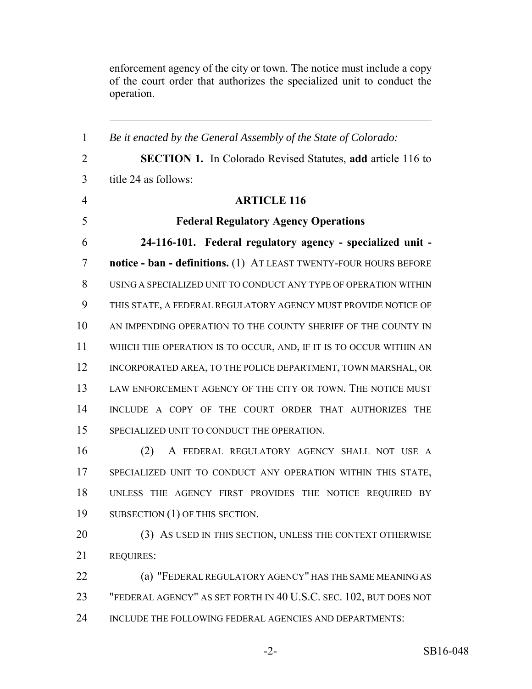enforcement agency of the city or town. The notice must include a copy of the court order that authorizes the specialized unit to conduct the operation.

 *Be it enacted by the General Assembly of the State of Colorado:* **SECTION 1.** In Colorado Revised Statutes, **add** article 116 to title 24 as follows: **ARTICLE 116 Federal Regulatory Agency Operations 24-116-101. Federal regulatory agency - specialized unit - notice - ban - definitions.** (1) AT LEAST TWENTY-FOUR HOURS BEFORE USING A SPECIALIZED UNIT TO CONDUCT ANY TYPE OF OPERATION WITHIN THIS STATE, A FEDERAL REGULATORY AGENCY MUST PROVIDE NOTICE OF 10 AN IMPENDING OPERATION TO THE COUNTY SHERIFF OF THE COUNTY IN WHICH THE OPERATION IS TO OCCUR, AND, IF IT IS TO OCCUR WITHIN AN INCORPORATED AREA, TO THE POLICE DEPARTMENT, TOWN MARSHAL, OR LAW ENFORCEMENT AGENCY OF THE CITY OR TOWN. THE NOTICE MUST INCLUDE A COPY OF THE COURT ORDER THAT AUTHORIZES THE SPECIALIZED UNIT TO CONDUCT THE OPERATION. (2) A FEDERAL REGULATORY AGENCY SHALL NOT USE A SPECIALIZED UNIT TO CONDUCT ANY OPERATION WITHIN THIS STATE, UNLESS THE AGENCY FIRST PROVIDES THE NOTICE REQUIRED BY 19 SUBSECTION (1) OF THIS SECTION. 20 (3) AS USED IN THIS SECTION, UNLESS THE CONTEXT OTHERWISE REQUIRES: **(a) "FEDERAL REGULATORY AGENCY" HAS THE SAME MEANING AS**  "FEDERAL AGENCY" AS SET FORTH IN 40 U.S.C. SEC. 102, BUT DOES NOT INCLUDE THE FOLLOWING FEDERAL AGENCIES AND DEPARTMENTS: